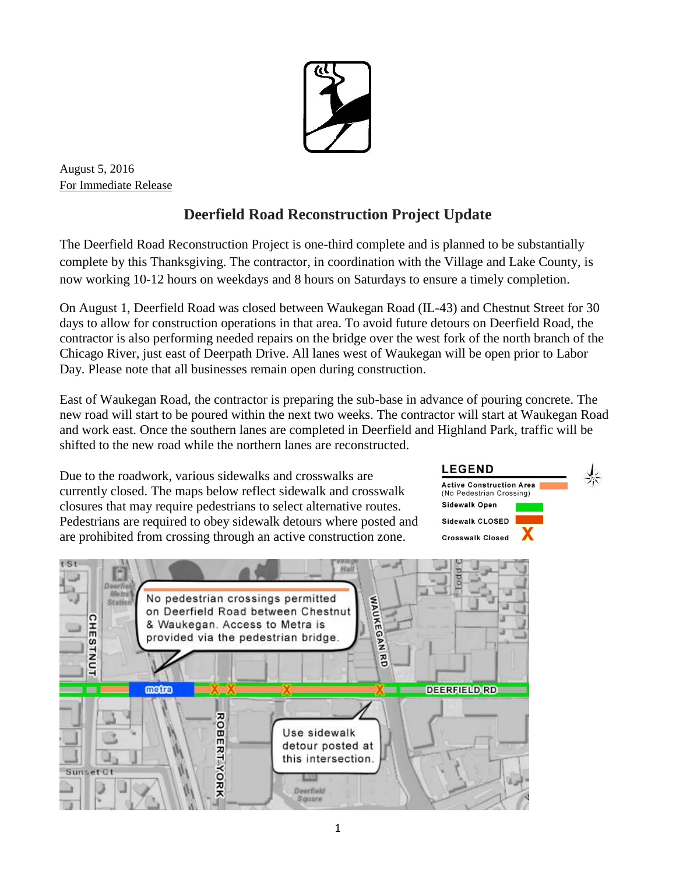

August 5, 2016 For Immediate Release

## **Deerfield Road Reconstruction Project Update**

The Deerfield Road Reconstruction Project is one-third complete and is planned to be substantially complete by this Thanksgiving. The contractor, in coordination with the Village and Lake County, is now working 10-12 hours on weekdays and 8 hours on Saturdays to ensure a timely completion.

On August 1, Deerfield Road was closed between Waukegan Road (IL-43) and Chestnut Street for 30 days to allow for construction operations in that area. To avoid future detours on Deerfield Road, the contractor is also performing needed repairs on the bridge over the west fork of the north branch of the Chicago River, just east of Deerpath Drive. All lanes west of Waukegan will be open prior to Labor Day. Please note that all businesses remain open during construction.

East of Waukegan Road, the contractor is preparing the sub-base in advance of pouring concrete. The new road will start to be poured within the next two weeks. The contractor will start at Waukegan Road and work east. Once the southern lanes are completed in Deerfield and Highland Park, traffic will be shifted to the new road while the northern lanes are reconstructed.

Due to the roadwork, various sidewalks and crosswalks are currently closed. The maps below reflect sidewalk and crosswalk closures that may require pedestrians to select alternative routes. Pedestrians are required to obey sidewalk detours where posted and are prohibited from crossing through an active construction zone.

## **LEGEND Active Construction Area** (No Pedestrian Crossing)

**Sidewalk Open** Sidewalk CLOSED **Crosswalk Closed**